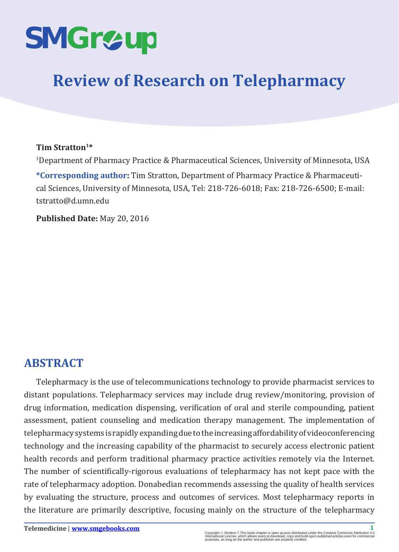

# **Review of Research on Telepharmacy**

#### **Tim Stratton1\***

1 Department of Pharmacy Practice & Pharmaceutical Sciences, University of Minnesota, USA **\*Corresponding author:** Tim Stratton, Department of Pharmacy Practice & Pharmaceutical Sciences, University of Minnesota, USA, Tel: 218-726-6018; Fax: 218-726-6500; E-mail:

**Published Date:** May 20, 2016

tstratto@d.umn.edu

# **ABSTRACT**

Telepharmacy is the use of telecommunications technology to provide pharmacist services to distant populations. Telepharmacy services may include drug review/monitoring, provision of drug information, medication dispensing, verification of oral and sterile compounding, patient assessment, patient counseling and medication therapy management. The implementation of telepharmacy systems is rapidly expanding due to the increasing affordability of videoconferencing technology and the increasing capability of the pharmacist to securely access electronic patient health records and perform traditional pharmacy practice activities remotely via the Internet. The number of scientifically-rigorous evaluations of telepharmacy has not kept pace with the rate of telepharmacy adoption. Donabedian recommends assessing the quality of health services by evaluating the structure, process and outcomes of services. Most telepharmacy reports in the literature are primarily descriptive, focusing mainly on the structure of the telepharmacy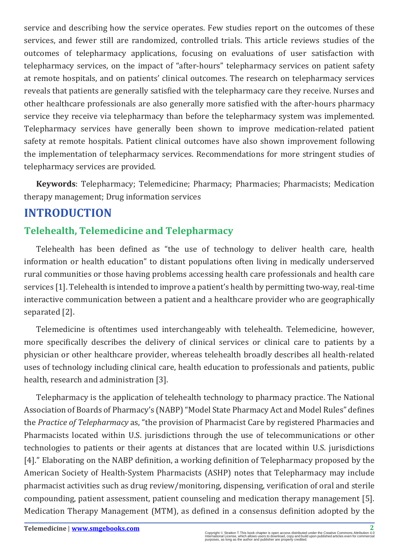service and describing how the service operates. Few studies report on the outcomes of these services, and fewer still are randomized, controlled trials. This article reviews studies of the outcomes of telepharmacy applications, focusing on evaluations of user satisfaction with telepharmacy services, on the impact of "after-hours" telepharmacy services on patient safety at remote hospitals, and on patients' clinical outcomes. The research on telepharmacy services reveals that patients are generally satisfied with the telepharmacy care they receive. Nurses and other healthcare professionals are also generally more satisfied with the after-hours pharmacy service they receive via telepharmacy than before the telepharmacy system was implemented. Telepharmacy services have generally been shown to improve medication-related patient safety at remote hospitals. Patient clinical outcomes have also shown improvement following the implementation of telepharmacy services. Recommendations for more stringent studies of telepharmacy services are provided.

**Keywords**: Telepharmacy; Telemedicine; Pharmacy; Pharmacies; Pharmacists; Medication therapy management; Drug information services

## **INTRODUCTION**

## **Telehealth, Telemedicine and Telepharmacy**

Telehealth has been defined as "the use of technology to deliver health care, health information or health education" to distant populations often living in medically underserved rural communities or those having problems accessing health care professionals and health care services [1]. Telehealth is intended to improve a patient's health by permitting two-way, real-time interactive communication between a patient and a healthcare provider who are geographically separated [2].

Telemedicine is oftentimes used interchangeably with telehealth. Telemedicine, however, more specifically describes the delivery of clinical services or clinical care to patients by a physician or other healthcare provider, whereas telehealth broadly describes all health-related uses of technology including clinical care, health education to professionals and patients, public health, research and administration [3].

Telepharmacy is the application of telehealth technology to pharmacy practice. The National Association of Boards of Pharmacy's (NABP) "Model State Pharmacy Act and Model Rules" defines the *Practice of Telepharmacy* as, "the provision of Pharmacist Care by registered Pharmacies and Pharmacists located within U.S. jurisdictions through the use of telecommunications or other technologies to patients or their agents at distances that are located within U.S. jurisdictions [4]." Elaborating on the NABP definition, a working definition of Telepharmacy proposed by the American Society of Health-System Pharmacists (ASHP) notes that Telepharmacy may include pharmacist activities such as drug review/monitoring, dispensing, verification of oral and sterile compounding, patient assessment, patient counseling and medication therapy management [5]. Medication Therapy Management (MTM), as defined in a consensus definition adopted by the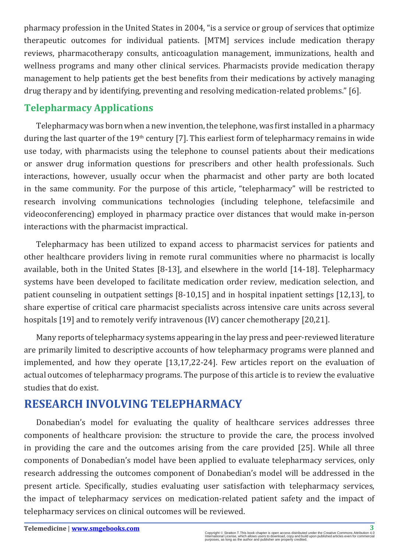pharmacy profession in the United States in 2004, "is a service or group of services that optimize therapeutic outcomes for individual patients. [MTM] services include medication therapy reviews, pharmacotherapy consults, anticoagulation management, immunizations, health and wellness programs and many other clinical services. Pharmacists provide medication therapy management to help patients get the best benefits from their medications by actively managing drug therapy and by identifying, preventing and resolving medication-related problems." [6].

#### **Telepharmacy Applications**

Telepharmacy was born when a new invention, the telephone, was first installed in a pharmacy during the last quarter of the  $19<sup>th</sup>$  century [7]. This earliest form of telepharmacy remains in wide use today, with pharmacists using the telephone to counsel patients about their medications or answer drug information questions for prescribers and other health professionals. Such interactions, however, usually occur when the pharmacist and other party are both located in the same community. For the purpose of this article, "telepharmacy" will be restricted to research involving communications technologies (including telephone, telefacsimile and videoconferencing) employed in pharmacy practice over distances that would make in-person interactions with the pharmacist impractical.

Telepharmacy has been utilized to expand access to pharmacist services for patients and other healthcare providers living in remote rural communities where no pharmacist is locally available, both in the United States [8-13], and elsewhere in the world [14-18]. Telepharmacy systems have been developed to facilitate medication order review, medication selection, and patient counseling in outpatient settings [8-10,15] and in hospital inpatient settings [12,13], to share expertise of critical care pharmacist specialists across intensive care units across several hospitals [19] and to remotely verify intravenous (IV) cancer chemotherapy [20,21].

Many reports of telepharmacy systems appearing in the lay press and peer-reviewed literature are primarily limited to descriptive accounts of how telepharmacy programs were planned and implemented, and how they operate [13,17,22-24]. Few articles report on the evaluation of actual outcomes of telepharmacy programs. The purpose of this article is to review the evaluative studies that do exist.

## **RESEARCH INVOLVING TELEPHARMACY**

Donabedian's model for evaluating the quality of healthcare services addresses three components of healthcare provision: the structure to provide the care, the process involved in providing the care and the outcomes arising from the care provided [25]. While all three components of Donabedian's model have been applied to evaluate telepharmacy services, only research addressing the outcomes component of Donabedian's model will be addressed in the present article. Specifically, studies evaluating user satisfaction with telepharmacy services, the impact of telepharmacy services on medication-related patient safety and the impact of telepharmacy services on clinical outcomes will be reviewed.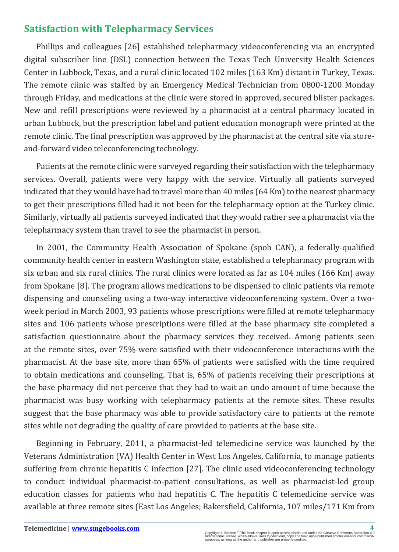#### **Satisfaction with Telepharmacy Services**

Phillips and colleagues [26] established telepharmacy videoconferencing via an encrypted digital subscriber line (DSL) connection between the Texas Tech University Health Sciences Center in Lubbock, Texas, and a rural clinic located 102 miles (163 Km) distant in Turkey, Texas. The remote clinic was staffed by an Emergency Medical Technician from 0800-1200 Monday through Friday, and medications at the clinic were stored in approved, secured blister packages. New and refill prescriptions were reviewed by a pharmacist at a central pharmacy located in urban Lubbock, but the prescription label and patient education monograph were printed at the remote clinic. The final prescription was approved by the pharmacist at the central site via storeand-forward video teleconferencing technology.

Patients at the remote clinic were surveyed regarding their satisfaction with the telepharmacy services. Overall, patients were very happy with the service. Virtually all patients surveyed indicated that they would have had to travel more than 40 miles (64 Km) to the nearest pharmacy to get their prescriptions filled had it not been for the telepharmacy option at the Turkey clinic. Similarly, virtually all patients surveyed indicated that they would rather see a pharmacist via the telepharmacy system than travel to see the pharmacist in person.

In 2001, the Community Health Association of Spokane (spoh CAN), a federally-qualified community health center in eastern Washington state, established a telepharmacy program with six urban and six rural clinics. The rural clinics were located as far as 104 miles (166 Km) away from Spokane [8]. The program allows medications to be dispensed to clinic patients via remote dispensing and counseling using a two-way interactive videoconferencing system. Over a twoweek period in March 2003, 93 patients whose prescriptions were filled at remote telepharmacy sites and 106 patients whose prescriptions were filled at the base pharmacy site completed a satisfaction questionnaire about the pharmacy services they received. Among patients seen at the remote sites, over 75% were satisfied with their videoconference interactions with the pharmacist. At the base site, more than 65% of patients were satisfied with the time required to obtain medications and counseling. That is, 65% of patients receiving their prescriptions at the base pharmacy did not perceive that they had to wait an undo amount of time because the pharmacist was busy working with telepharmacy patients at the remote sites. These results suggest that the base pharmacy was able to provide satisfactory care to patients at the remote sites while not degrading the quality of care provided to patients at the base site.

Beginning in February, 2011, a pharmacist-led telemedicine service was launched by the Veterans Administration (VA) Health Center in West Los Angeles, California, to manage patients suffering from chronic hepatitis C infection [27]. The clinic used videoconferencing technology to conduct individual pharmacist-to-patient consultations, as well as pharmacist-led group education classes for patients who had hepatitis C. The hepatitis C telemedicine service was available at three remote sites (East Los Angeles; Bakersfield, California, 107 miles/171 Km from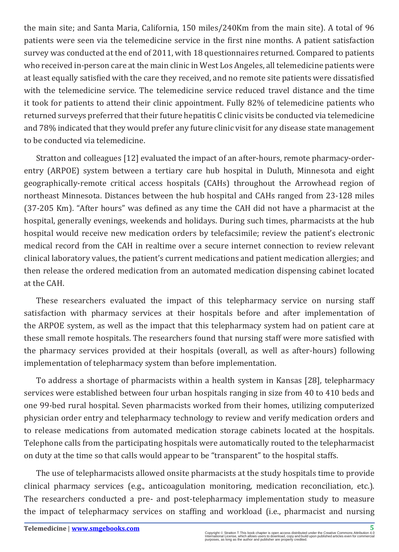the main site; and Santa Maria, California, 150 miles/240Km from the main site). A total of 96 patients were seen via the telemedicine service in the first nine months. A patient satisfaction survey was conducted at the end of 2011, with 18 questionnaires returned. Compared to patients who received in-person care at the main clinic in West Los Angeles, all telemedicine patients were at least equally satisfied with the care they received, and no remote site patients were dissatisfied with the telemedicine service. The telemedicine service reduced travel distance and the time it took for patients to attend their clinic appointment. Fully 82% of telemedicine patients who returned surveys preferred that their future hepatitis C clinic visits be conducted via telemedicine and 78% indicated that they would prefer any future clinic visit for any disease state management to be conducted via telemedicine.

Stratton and colleagues [12] evaluated the impact of an after-hours, remote pharmacy-orderentry (ARPOE) system between a tertiary care hub hospital in Duluth, Minnesota and eight geographically-remote critical access hospitals (CAHs) throughout the Arrowhead region of northeast Minnesota. Distances between the hub hospital and CAHs ranged from 23-128 miles (37-205 Km). "After hours" was defined as any time the CAH did not have a pharmacist at the hospital, generally evenings, weekends and holidays. During such times, pharmacists at the hub hospital would receive new medication orders by telefacsimile; review the patient's electronic medical record from the CAH in realtime over a secure internet connection to review relevant clinical laboratory values, the patient's current medications and patient medication allergies; and then release the ordered medication from an automated medication dispensing cabinet located at the CAH.

These researchers evaluated the impact of this telepharmacy service on nursing staff satisfaction with pharmacy services at their hospitals before and after implementation of the ARPOE system, as well as the impact that this telepharmacy system had on patient care at these small remote hospitals. The researchers found that nursing staff were more satisfied with the pharmacy services provided at their hospitals (overall, as well as after-hours) following implementation of telepharmacy system than before implementation.

To address a shortage of pharmacists within a health system in Kansas [28], telepharmacy services were established between four urban hospitals ranging in size from 40 to 410 beds and one 99-bed rural hospital. Seven pharmacists worked from their homes, utilizing computerized physician order entry and telepharmacy technology to review and verify medication orders and to release medications from automated medication storage cabinets located at the hospitals. Telephone calls from the participating hospitals were automatically routed to the telepharmacist on duty at the time so that calls would appear to be "transparent" to the hospital staffs.

The use of telepharmacists allowed onsite pharmacists at the study hospitals time to provide clinical pharmacy services (e.g., anticoagulation monitoring, medication reconciliation, etc.). The researchers conducted a pre- and post-telepharmacy implementation study to measure the impact of telepharmacy services on staffing and workload (i.e., pharmacist and nursing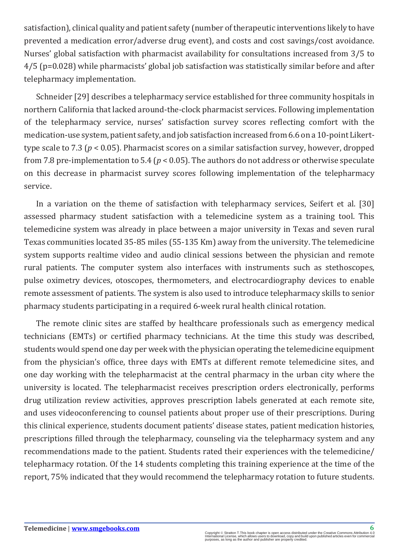satisfaction), clinical quality and patient safety (number of therapeutic interventions likely to have prevented a medication error/adverse drug event), and costs and cost savings/cost avoidance. Nurses' global satisfaction with pharmacist availability for consultations increased from 3/5 to  $4/5$  (p=0.028) while pharmacists' global job satisfaction was statistically similar before and after telepharmacy implementation.

Schneider [29] describes a telepharmacy service established for three community hospitals in northern California that lacked around-the-clock pharmacist services. Following implementation of the telepharmacy service, nurses' satisfaction survey scores reflecting comfort with the medication-use system, patient safety, and job satisfaction increased from 6.6 on a 10-point Likerttype scale to 7.3 (*p* < 0.05). Pharmacist scores on a similar satisfaction survey, however, dropped from 7.8 pre-implementation to 5.4 ( $p < 0.05$ ). The authors do not address or otherwise speculate on this decrease in pharmacist survey scores following implementation of the telepharmacy service.

In a variation on the theme of satisfaction with telepharmacy services, Seifert et al. [30] assessed pharmacy student satisfaction with a telemedicine system as a training tool. This telemedicine system was already in place between a major university in Texas and seven rural Texas communities located 35-85 miles (55-135 Km) away from the university. The telemedicine system supports realtime video and audio clinical sessions between the physician and remote rural patients. The computer system also interfaces with instruments such as stethoscopes, pulse oximetry devices, otoscopes, thermometers, and electrocardiography devices to enable remote assessment of patients. The system is also used to introduce telepharmacy skills to senior pharmacy students participating in a required 6-week rural health clinical rotation.

The remote clinic sites are staffed by healthcare professionals such as emergency medical technicians (EMTs) or certified pharmacy technicians. At the time this study was described, students would spend one day per week with the physician operating the telemedicine equipment from the physician's office, three days with EMTs at different remote telemedicine sites, and one day working with the telepharmacist at the central pharmacy in the urban city where the university is located. The telepharmacist receives prescription orders electronically, performs drug utilization review activities, approves prescription labels generated at each remote site, and uses videoconferencing to counsel patients about proper use of their prescriptions. During this clinical experience, students document patients' disease states, patient medication histories, prescriptions filled through the telepharmacy, counseling via the telepharmacy system and any recommendations made to the patient. Students rated their experiences with the telemedicine/ telepharmacy rotation. Of the 14 students completing this training experience at the time of the report, 75% indicated that they would recommend the telepharmacy rotation to future students.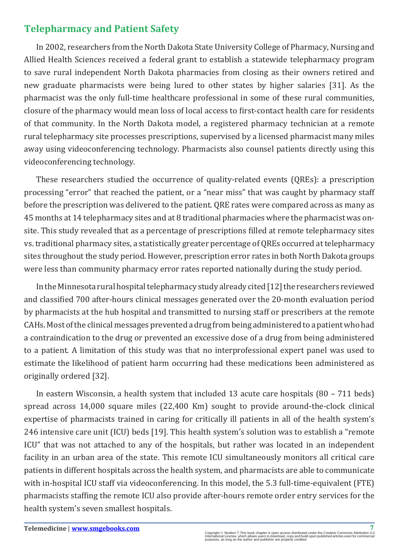### **Telepharmacy and Patient Safety**

In 2002, researchers from the North Dakota State University College of Pharmacy, Nursing and Allied Health Sciences received a federal grant to establish a statewide telepharmacy program to save rural independent North Dakota pharmacies from closing as their owners retired and new graduate pharmacists were being lured to other states by higher salaries [31]. As the pharmacist was the only full-time healthcare professional in some of these rural communities, closure of the pharmacy would mean loss of local access to first-contact health care for residents of that community. In the North Dakota model, a registered pharmacy technician at a remote rural telepharmacy site processes prescriptions, supervised by a licensed pharmacist many miles away using videoconferencing technology. Pharmacists also counsel patients directly using this videoconferencing technology.

These researchers studied the occurrence of quality-related events (QREs): a prescription processing "error" that reached the patient, or a "near miss" that was caught by pharmacy staff before the prescription was delivered to the patient. QRE rates were compared across as many as 45 months at 14 telepharmacy sites and at 8 traditional pharmacies where the pharmacist was onsite. This study revealed that as a percentage of prescriptions filled at remote telepharmacy sites vs. traditional pharmacy sites, a statistically greater percentage of QREs occurred at telepharmacy sites throughout the study period. However, prescription error rates in both North Dakota groups were less than community pharmacy error rates reported nationally during the study period.

In the Minnesota rural hospital telepharmacy study already cited [12] the researchers reviewed and classified 700 after-hours clinical messages generated over the 20-month evaluation period by pharmacists at the hub hospital and transmitted to nursing staff or prescribers at the remote CAHs. Most of the clinical messages prevented a drug from being administered to a patient who had a contraindication to the drug or prevented an excessive dose of a drug from being administered to a patient. A limitation of this study was that no interprofessional expert panel was used to estimate the likelihood of patient harm occurring had these medications been administered as originally ordered [32].

In eastern Wisconsin, a health system that included 13 acute care hospitals (80 – 711 beds) spread across 14,000 square miles (22,400 Km) sought to provide around-the-clock clinical expertise of pharmacists trained in caring for critically ill patients in all of the health system's 246 intensive care unit (ICU) beds [19]. This health system's solution was to establish a "remote ICU" that was not attached to any of the hospitals, but rather was located in an independent facility in an urban area of the state. This remote ICU simultaneously monitors all critical care patients in different hospitals across the health system, and pharmacists are able to communicate with in-hospital ICU staff via videoconferencing. In this model, the 5.3 full-time-equivalent (FTE) pharmacists staffing the remote ICU also provide after-hours remote order entry services for the health system's seven smallest hospitals.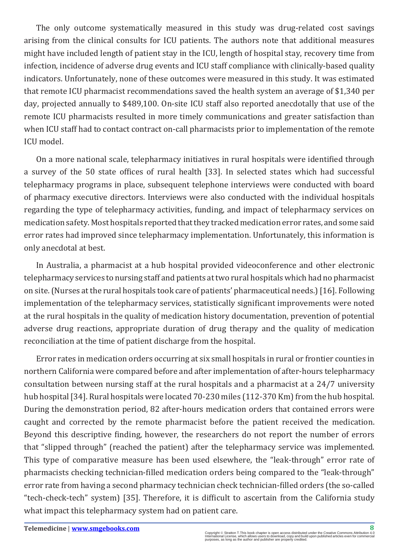The only outcome systematically measured in this study was drug-related cost savings arising from the clinical consults for ICU patients. The authors note that additional measures might have included length of patient stay in the ICU, length of hospital stay, recovery time from infection, incidence of adverse drug events and ICU staff compliance with clinically-based quality indicators. Unfortunately, none of these outcomes were measured in this study. It was estimated that remote ICU pharmacist recommendations saved the health system an average of \$1,340 per day, projected annually to \$489,100. On-site ICU staff also reported anecdotally that use of the remote ICU pharmacists resulted in more timely communications and greater satisfaction than when ICU staff had to contact contract on-call pharmacists prior to implementation of the remote ICU model.

On a more national scale, telepharmacy initiatives in rural hospitals were identified through a survey of the 50 state offices of rural health [33]. In selected states which had successful telepharmacy programs in place, subsequent telephone interviews were conducted with board of pharmacy executive directors. Interviews were also conducted with the individual hospitals regarding the type of telepharmacy activities, funding, and impact of telepharmacy services on medication safety. Most hospitals reported that they tracked medication error rates, and some said error rates had improved since telepharmacy implementation. Unfortunately, this information is only anecdotal at best.

In Australia, a pharmacist at a hub hospital provided videoconference and other electronic telepharmacy services to nursing staff and patients at two rural hospitals which had no pharmacist on site. (Nurses at the rural hospitals took care of patients' pharmaceutical needs.) [16]. Following implementation of the telepharmacy services, statistically significant improvements were noted at the rural hospitals in the quality of medication history documentation, prevention of potential adverse drug reactions, appropriate duration of drug therapy and the quality of medication reconciliation at the time of patient discharge from the hospital.

Error rates in medication orders occurring at six small hospitals in rural or frontier counties in northern California were compared before and after implementation of after-hours telepharmacy consultation between nursing staff at the rural hospitals and a pharmacist at a 24/7 university hub hospital [34]. Rural hospitals were located 70-230 miles (112-370 Km) from the hub hospital. During the demonstration period, 82 after-hours medication orders that contained errors were caught and corrected by the remote pharmacist before the patient received the medication. Beyond this descriptive finding, however, the researchers do not report the number of errors that "slipped through" (reached the patient) after the telepharmacy service was implemented. This type of comparative measure has been used elsewhere, the "leak-through" error rate of pharmacists checking technician-filled medication orders being compared to the "leak-through" error rate from having a second pharmacy technician check technician-filled orders (the so-called "tech-check-tech" system) [35]. Therefore, it is difficult to ascertain from the California study what impact this telepharmacy system had on patient care.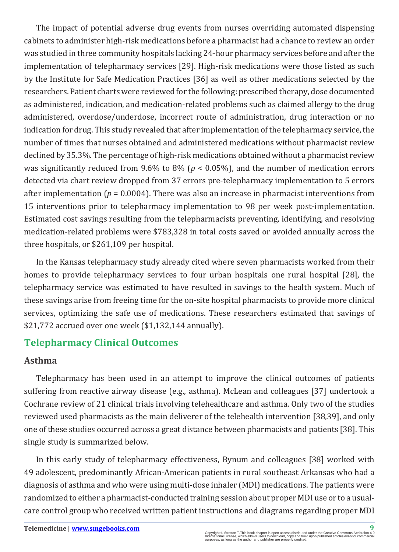The impact of potential adverse drug events from nurses overriding automated dispensing cabinets to administer high-risk medications before a pharmacist had a chance to review an order was studied in three community hospitals lacking 24-hour pharmacy services before and after the implementation of telepharmacy services [29]. High-risk medications were those listed as such by the Institute for Safe Medication Practices [36] as well as other medications selected by the researchers. Patient charts were reviewed for the following: prescribed therapy, dose documented as administered, indication, and medication-related problems such as claimed allergy to the drug administered, overdose/underdose, incorrect route of administration, drug interaction or no indication for drug. This study revealed that after implementation of the telepharmacy service, the number of times that nurses obtained and administered medications without pharmacist review declined by 35.3%. The percentage of high-risk medications obtained without a pharmacist review was significantly reduced from 9.6% to 8% (*p* < 0.05%), and the number of medication errors detected via chart review dropped from 37 errors pre-telepharmacy implementation to 5 errors after implementation  $(p = 0.0004)$ . There was also an increase in pharmacist interventions from 15 interventions prior to telepharmacy implementation to 98 per week post-implementation. Estimated cost savings resulting from the telepharmacists preventing, identifying, and resolving medication-related problems were \$783,328 in total costs saved or avoided annually across the three hospitals, or \$261,109 per hospital.

In the Kansas telepharmacy study already cited where seven pharmacists worked from their homes to provide telepharmacy services to four urban hospitals one rural hospital [28], the telepharmacy service was estimated to have resulted in savings to the health system. Much of these savings arise from freeing time for the on-site hospital pharmacists to provide more clinical services, optimizing the safe use of medications. These researchers estimated that savings of \$21,772 accrued over one week (\$1,132,144 annually).

## **Telepharmacy Clinical Outcomes**

#### **Asthma**

Telepharmacy has been used in an attempt to improve the clinical outcomes of patients suffering from reactive airway disease (e.g., asthma). McLean and colleagues [37] undertook a Cochrane review of 21 clinical trials involving telehealthcare and asthma. Only two of the studies reviewed used pharmacists as the main deliverer of the telehealth intervention [38,39], and only one of these studies occurred across a great distance between pharmacists and patients [38]. This single study is summarized below.

In this early study of telepharmacy effectiveness, Bynum and colleagues [38] worked with 49 adolescent, predominantly African-American patients in rural southeast Arkansas who had a diagnosis of asthma and who were using multi-dose inhaler (MDI) medications. The patients were randomized to either a pharmacist-conducted training session about proper MDI use or to a usualcare control group who received written patient instructions and diagrams regarding proper MDI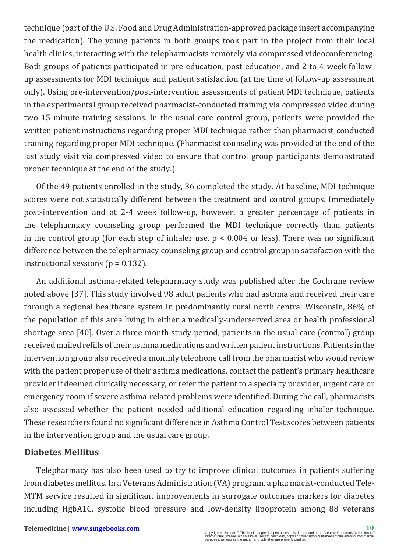technique (part of the U.S. Food and Drug Administration-approved package insert accompanying the medication). The young patients in both groups took part in the project from their local health clinics, interacting with the telepharmacists remotely via compressed videoconferencing. Both groups of patients participated in pre-education, post-education, and 2 to 4-week followup assessments for MDI technique and patient satisfaction (at the time of follow-up assessment only). Using pre-intervention/post-intervention assessments of patient MDI technique, patients in the experimental group received pharmacist-conducted training via compressed video during two 15-minute training sessions. In the usual-care control group, patients were provided the written patient instructions regarding proper MDI technique rather than pharmacist-conducted training regarding proper MDI technique. (Pharmacist counseling was provided at the end of the last study visit via compressed video to ensure that control group participants demonstrated proper technique at the end of the study.)

Of the 49 patients enrolled in the study, 36 completed the study. At baseline, MDI technique scores were not statistically different between the treatment and control groups. Immediately post-intervention and at 2-4 week follow-up, however, a greater percentage of patients in the telepharmacy counseling group performed the MDI technique correctly than patients in the control group (for each step of inhaler use,  $p < 0.004$  or less). There was no significant difference between the telepharmacy counseling group and control group in satisfaction with the instructional sessions ( $p = 0.132$ ).

An additional asthma-related telepharmacy study was published after the Cochrane review noted above [37]. This study involved 98 adult patients who had asthma and received their care through a regional healthcare system in predominantly rural north central Wisconsin, 86% of the population of this area living in either a medically-underserved area or health professional shortage area [40]. Over a three-month study period, patients in the usual care (control) group received mailed refills of their asthma medications and written patient instructions. Patients in the intervention group also received a monthly telephone call from the pharmacist who would review with the patient proper use of their asthma medications, contact the patient's primary healthcare provider if deemed clinically necessary, or refer the patient to a specialty provider, urgent care or emergency room if severe asthma-related problems were identified. During the call, pharmacists also assessed whether the patient needed additional education regarding inhaler technique. These researchers found no significant difference in Asthma Control Test scores between patients in the intervention group and the usual care group.

#### **Diabetes Mellitus**

Telepharmacy has also been used to try to improve clinical outcomes in patients suffering from diabetes mellitus. In a Veterans Administration (VA) program, a pharmacist-conducted Tele-MTM service resulted in significant improvements in surrogate outcomes markers for diabetes including HgbA1C, systolic blood pressure and low-density lipoprotein among 88 veterans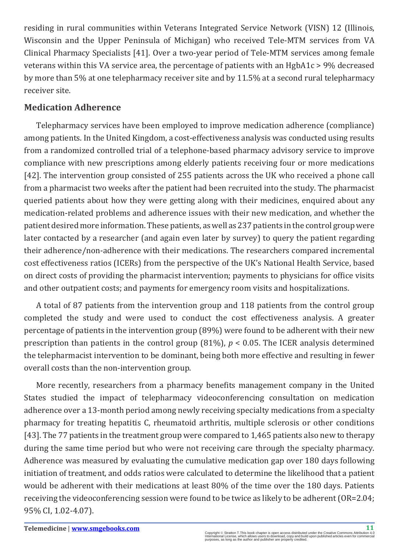residing in rural communities within Veterans Integrated Service Network (VISN) 12 (Illinois, Wisconsin and the Upper Peninsula of Michigan) who received Tele-MTM services from VA Clinical Pharmacy Specialists [41]. Over a two-year period of Tele-MTM services among female veterans within this VA service area, the percentage of patients with an HgbA1c > 9% decreased by more than 5% at one telepharmacy receiver site and by 11.5% at a second rural telepharmacy receiver site.

#### **Medication Adherence**

Telepharmacy services have been employed to improve medication adherence (compliance) among patients. In the United Kingdom, a cost-effectiveness analysis was conducted using results from a randomized controlled trial of a telephone-based pharmacy advisory service to improve compliance with new prescriptions among elderly patients receiving four or more medications [42]. The intervention group consisted of 255 patients across the UK who received a phone call from a pharmacist two weeks after the patient had been recruited into the study. The pharmacist queried patients about how they were getting along with their medicines, enquired about any medication-related problems and adherence issues with their new medication, and whether the patient desired more information. These patients, as well as 237 patients in the control group were later contacted by a researcher (and again even later by survey) to query the patient regarding their adherence/non-adherence with their medications. The researchers compared incremental cost effectiveness ratios (ICERs) from the perspective of the UK's National Health Service, based on direct costs of providing the pharmacist intervention; payments to physicians for office visits and other outpatient costs; and payments for emergency room visits and hospitalizations.

A total of 87 patients from the intervention group and 118 patients from the control group completed the study and were used to conduct the cost effectiveness analysis. A greater percentage of patients in the intervention group (89%) were found to be adherent with their new prescription than patients in the control group (81%), *p* < 0.05. The ICER analysis determined the telepharmacist intervention to be dominant, being both more effective and resulting in fewer overall costs than the non-intervention group.

More recently, researchers from a pharmacy benefits management company in the United States studied the impact of telepharmacy videoconferencing consultation on medication adherence over a 13-month period among newly receiving specialty medications from a specialty pharmacy for treating hepatitis C, rheumatoid arthritis, multiple sclerosis or other conditions [43]. The 77 patients in the treatment group were compared to 1,465 patients also new to therapy during the same time period but who were not receiving care through the specialty pharmacy. Adherence was measured by evaluating the cumulative medication gap over 180 days following initiation of treatment, and odds ratios were calculated to determine the likelihood that a patient would be adherent with their medications at least 80% of the time over the 180 days. Patients receiving the videoconferencing session were found to be twice as likely to be adherent (OR=2.04; 95% CI, 1.02-4.07).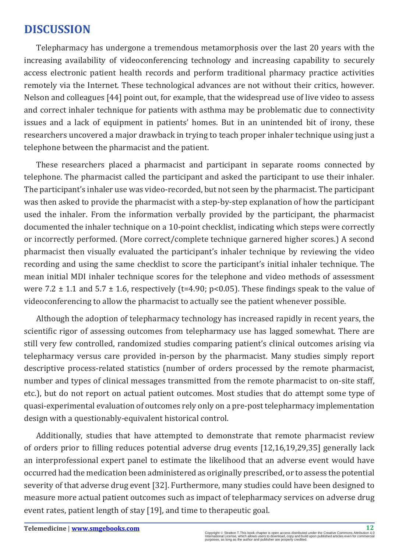## **DISCUSSION**

Telepharmacy has undergone a tremendous metamorphosis over the last 20 years with the increasing availability of videoconferencing technology and increasing capability to securely access electronic patient health records and perform traditional pharmacy practice activities remotely via the Internet. These technological advances are not without their critics, however. Nelson and colleagues [44] point out, for example, that the widespread use of live video to assess and correct inhaler technique for patients with asthma may be problematic due to connectivity issues and a lack of equipment in patients' homes. But in an unintended bit of irony, these researchers uncovered a major drawback in trying to teach proper inhaler technique using just a telephone between the pharmacist and the patient.

These researchers placed a pharmacist and participant in separate rooms connected by telephone. The pharmacist called the participant and asked the participant to use their inhaler. The participant's inhaler use was video-recorded, but not seen by the pharmacist. The participant was then asked to provide the pharmacist with a step-by-step explanation of how the participant used the inhaler. From the information verbally provided by the participant, the pharmacist documented the inhaler technique on a 10-point checklist, indicating which steps were correctly or incorrectly performed. (More correct/complete technique garnered higher scores.) A second pharmacist then visually evaluated the participant's inhaler technique by reviewing the video recording and using the same checklist to score the participant's initial inhaler technique. The mean initial MDI inhaler technique scores for the telephone and video methods of assessment were 7.2  $\pm$  1.1 and 5.7  $\pm$  1.6, respectively (t=4.90; p<0.05). These findings speak to the value of videoconferencing to allow the pharmacist to actually see the patient whenever possible.

Although the adoption of telepharmacy technology has increased rapidly in recent years, the scientific rigor of assessing outcomes from telepharmacy use has lagged somewhat. There are still very few controlled, randomized studies comparing patient's clinical outcomes arising via telepharmacy versus care provided in-person by the pharmacist. Many studies simply report descriptive process-related statistics (number of orders processed by the remote pharmacist, number and types of clinical messages transmitted from the remote pharmacist to on-site staff, etc.), but do not report on actual patient outcomes. Most studies that do attempt some type of quasi-experimental evaluation of outcomes rely only on a pre-post telepharmacy implementation design with a questionably-equivalent historical control.

Additionally, studies that have attempted to demonstrate that remote pharmacist review of orders prior to filling reduces potential adverse drug events [12,16,19,29,35] generally lack an interprofessional expert panel to estimate the likelihood that an adverse event would have occurred had the medication been administered as originally prescribed, or to assess the potential severity of that adverse drug event [32]. Furthermore, many studies could have been designed to measure more actual patient outcomes such as impact of telepharmacy services on adverse drug event rates, patient length of stay [19], and time to therapeutic goal.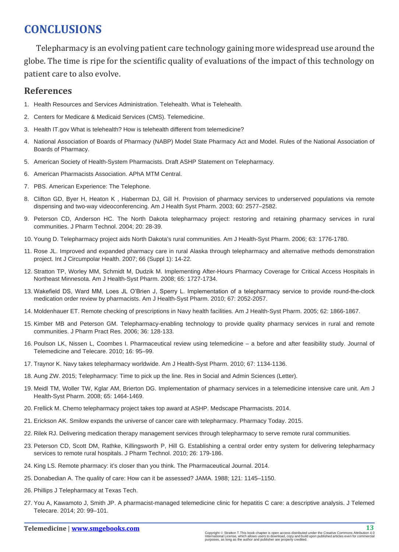## **CONCLUSIONS**

Telepharmacy is an evolving patient care technology gaining more widespread use around the globe. The time is ripe for the scientific quality of evaluations of the impact of this technology on patient care to also evolve.

#### **References**

- 1. H[ealth Resources and Services Administration. Telehealth. What is Telehealth.](http://www.hrsa.gov/healthit/toolbox/RuralHealthITtoolbox/Telehealth/whatistelehealth.html)
- 2. C[enters for Medicare & Medicaid Services \(CMS\). Telemedicine.](https://www.medicaid.gov/Medicaid-CHIP-Program-Information/By-Topics/Delivery-Systems/Telemedicine.html)
- 3. H[ealth IT.gov What is telehealth? How is telehealth different from telemedicine?](https://www.healthit.gov/providers-professionals/faqs/what-telehealth-how-telehealth-different-telemedicine)
- 4. N[ational Association of Boards of Pharmacy \(NABP\) Model State Pharmacy Act and Model. Rules of the National Association of](http://www.nabp.net/publications/model-act/)  [Boards of Pharmacy.](http://www.nabp.net/publications/model-act/)
- 5. [American Society of Health-System Pharmacists. Draft ASHP Statement on Telepharmacy.](http://www.ashp.org/doclibrary/bestpractices/draftdocs/draftstatementtelepharmacy.aspx)
- 6. [American Pharmacists Association. APhA MTM Central.](http://www.pharmacist.com/mtm)
- 7. [PBS. American Experience: The Telephone.](http://www.pbs.org/wgbh/amex/telephone/filmmore/transcript/)
- 8. C[lifton GD, Byer H, Heaton K , Haberman DJ, Gill H. Provision of pharmacy services to underserved populations via remote](http://www.ncbi.nlm.nih.gov/pubmed/14750497)  [dispensing and two-way videoconferencing. Am J Health Syst Pharm. 2003; 60: 2577–2582.](http://www.ncbi.nlm.nih.gov/pubmed/14750497)
- 9. [Peterson CD, Anderson HC. The North Dakota telepharmacy project: restoring and retaining pharmacy services in rural](http://pmt.sagepub.com/content/20/1/28.short?rss=1&ssource=mfc)  [communities. J Pharm Technol. 2004; 20: 28-39.](http://pmt.sagepub.com/content/20/1/28.short?rss=1&ssource=mfc)
- 10. [Young D. Telepharmacy project aids North Dakota's rural communities. Am J Health-Syst Pharm. 2006; 63: 1776-1780.](http://www.ncbi.nlm.nih.gov/pubmed/16990619)
- 11. R[ose JL. Improved and expanded pharmacy care in rural Alaska through telepharmacy and alternative methods demonstration](http://www.ncbi.nlm.nih.gov/pubmed/18154228)  [project. Int J Circumpolar Health. 2007; 66 \(Suppl 1\): 14-22.](http://www.ncbi.nlm.nih.gov/pubmed/18154228)
- 12. [Stratton TP, Worley MM, Schmidt M, Dudzik M. Implementing After-Hours Pharmacy Coverage for Critical Access Hospitals in](http://www.ncbi.nlm.nih.gov/pubmed/18768999)  [Northeast Minnesota. Am J Health-Syst Pharm. 2008; 65: 1727-1734.](http://www.ncbi.nlm.nih.gov/pubmed/18768999)
- 13. [Wakefield DS, Ward MM, Loes JL O'Brien J, Sperry L. Implementation of a telepharmacy service to provide round-the-clock](http://www.ncbi.nlm.nih.gov/pubmed/21098378)  [medication order review by pharmacists. Am J Health-Syst Pharm. 2010; 67: 2052-2057.](http://www.ncbi.nlm.nih.gov/pubmed/21098378)
- 14. M[oldenhauer ET. Remote checking of prescriptions in Navy health facilities. Am J Health-Syst Pharm. 2005; 62: 1866-1867.](http://www.ncbi.nlm.nih.gov/pubmed/16141102)
- 15. [Kimber MB and Peterson GM. Telepharmacy-enabling technology to provide quality pharmacy services in rural and remote](https://www.ndsu.edu/fileadmin/telepharmacy/KimberPetersonTelepharmacy.pdf)  [communities. J Pharm Pract Res. 2006; 36: 128-133.](https://www.ndsu.edu/fileadmin/telepharmacy/KimberPetersonTelepharmacy.pdf)
- 16. [Poulson LK, Nissen L, Coombes I. Pharmaceutical review using telemedicine a before and after feasibility study. Journal of](http://www.ncbi.nlm.nih.gov/pubmed/20139138)  [Telemedicine and Telecare. 2010; 16: 95–99.](http://www.ncbi.nlm.nih.gov/pubmed/20139138)
- 17. T[raynor K. Navy takes telepharmacy worldwide. Am J Health-Syst Pharm. 2010; 67: 1134-1136.](http://www.ncbi.nlm.nih.gov/pubmed/20592313)
- 18. [Aung ZW. 2015; Telepharmacy: Time to pick up the line. Res in Social and Admin Sciences \(Letter\).](http://www.rsap.org/article/S1551-7411(15)00119-9/pdf)
- 19. M[eidl TM, Woller TW, Kglar AM, Brierton DG. Implementation of pharmacy services in a telemedicine intensive care unit. Am J](http://www.ncbi.nlm.nih.gov/pubmed/18653818)  [Health-Syst Pharm. 2008; 65: 1464-1469.](http://www.ncbi.nlm.nih.gov/pubmed/18653818)
- 20. F[rellick M. Chemo telepharmacy project takes top award at ASHP. Medscape Pharmacists. 2014.](http://www.medscape.com/viewarticle/836295)
- 21. [Erickson AK. Smilow expands the universe of cancer care with telepharmacy. Pharmacy Today. 2015.](https://www.pharmacist.com/smilow-expands-universe-cancer-care-telepharmacy)
- 22. R[ilek RJ. Delivering medication therapy management services through telepharmacy to serve remote rural communities.](http://www.reeis.usda.gov/web/crisprojectpages/0217879-delivering-medication-therapy-management-services-through-telepharmacy-to-serve-remote-rural-communities.html)
- 23. [Peterson CD, Scott DM, Rathke, Killingsworth P, Hill G. Establishing a central order entry system for delivering telepharmacy](https://www.ndsu.edu/fileadmin/telepharmacy/JPhTech_2010_article.pdf)  [services to remote rural hospitals. J Pharm Technol. 2010; 26: 179-186.](https://www.ndsu.edu/fileadmin/telepharmacy/JPhTech_2010_article.pdf)
- 24. [King LS. Remote pharmacy: it's closer than you think. The Pharmaceutical Journal. 2014.](http://www.pharmaceutical-journal.com/news-and-analysis/features/remote-pharmacy-its-closer-than-you-think/20065564.article)
- 25. D[onabedian A. The quality of care: How can it be assessed? JAMA. 1988; 121: 1145–1150.](http://www.ncbi.nlm.nih.gov/pubmed/3045356)
- 26. [Phillips J Telepharmacy at Texas Tech.](https://www.google.com/url?sa=t&rct=j&q=&esrc=s&source=web&cd=4&cad=rja&uact=8&ved=0ahUKEwjs-eS68dnKAhWFgYMKHc8fBjAQFgg1MAM&url=https%3A%2F%2Fwww.ttuhsc.edu%2Ftelemedicine%2Fdocuments%2Ftelepharmacy_presentation_42503.ppt&usg=AFQjCNE5b4ChX8OKwNTlfyo1UORLawqN0g)
- 27. [You A, Kawamoto J, Smith JP. A pharmacist-managed telemedicine clinic for hepatitis C care: a descriptive analysis. J Telemed](http://www.ncbi.nlm.nih.gov/pubmed/24414398)  [Telecare. 2014; 20: 99–101.](http://www.ncbi.nlm.nih.gov/pubmed/24414398)